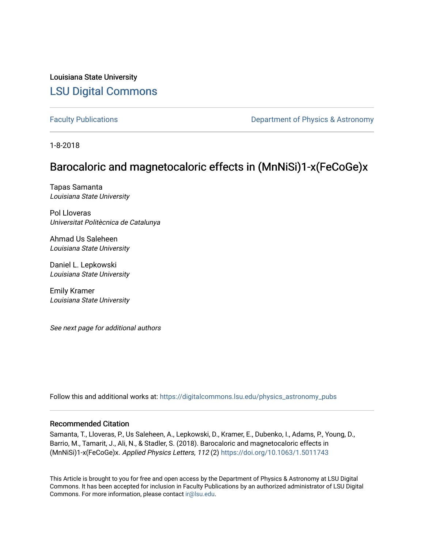Louisiana State University [LSU Digital Commons](https://digitalcommons.lsu.edu/)

[Faculty Publications](https://digitalcommons.lsu.edu/physics_astronomy_pubs) **Exercise 2** and Table 2 and Department of Physics & Astronomy

1-8-2018

# Barocaloric and magnetocaloric effects in (MnNiSi)1-x(FeCoGe)x

Tapas Samanta Louisiana State University

Pol Lloveras Universitat Politècnica de Catalunya

Ahmad Us Saleheen Louisiana State University

Daniel L. Lepkowski Louisiana State University

Emily Kramer Louisiana State University

See next page for additional authors

Follow this and additional works at: [https://digitalcommons.lsu.edu/physics\\_astronomy\\_pubs](https://digitalcommons.lsu.edu/physics_astronomy_pubs?utm_source=digitalcommons.lsu.edu%2Fphysics_astronomy_pubs%2F5231&utm_medium=PDF&utm_campaign=PDFCoverPages) 

#### Recommended Citation

Samanta, T., Lloveras, P., Us Saleheen, A., Lepkowski, D., Kramer, E., Dubenko, I., Adams, P., Young, D., Barrio, M., Tamarit, J., Ali, N., & Stadler, S. (2018). Barocaloric and magnetocaloric effects in (MnNiSi)1-x(FeCoGe)x. Applied Physics Letters, 112 (2)<https://doi.org/10.1063/1.5011743>

This Article is brought to you for free and open access by the Department of Physics & Astronomy at LSU Digital Commons. It has been accepted for inclusion in Faculty Publications by an authorized administrator of LSU Digital Commons. For more information, please contact [ir@lsu.edu](mailto:ir@lsu.edu).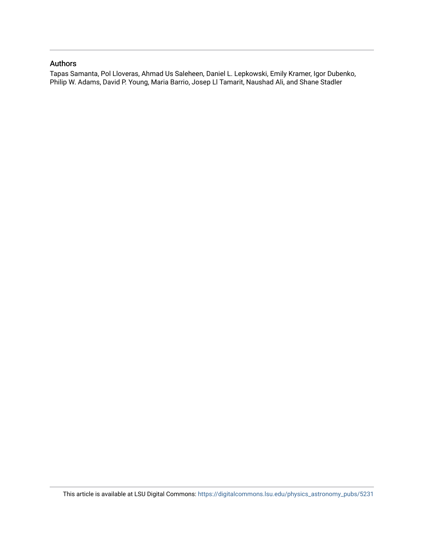#### Authors

Tapas Samanta, Pol Lloveras, Ahmad Us Saleheen, Daniel L. Lepkowski, Emily Kramer, Igor Dubenko, Philip W. Adams, David P. Young, Maria Barrio, Josep Ll Tamarit, Naushad Ali, and Shane Stadler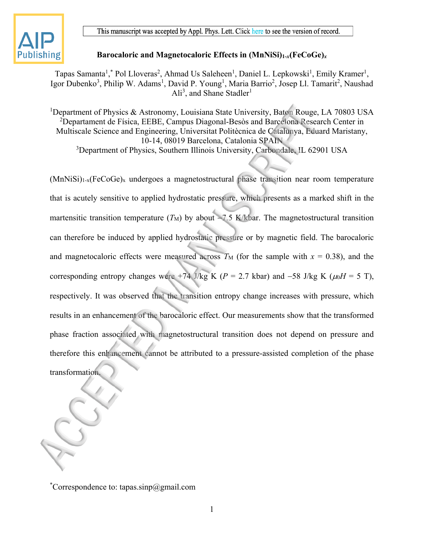

## **Barocaloric and Magnetocaloric Effects in (MnNiSi)1-***x***(FeCoGe)***<sup>x</sup>*

Tapas Samanta<sup>1</sup>,<sup>\*</sup> Pol Lloveras<sup>2</sup>, Ahmad Us Saleheen<sup>1</sup>, Daniel L. Lepkowski<sup>1</sup>, Emily Kramer<sup>1</sup>, Igor Dubenko<sup>3</sup>, Philip W. Adams<sup>1</sup>, David P. Young<sup>1</sup>, Maria Barrio<sup>2</sup>, Josep Ll. Tamarit<sup>2</sup>, Naushad Ali<sup>3</sup>, and Shane Stadler<sup>1</sup>

<sup>1</sup>Department of Physics & Astronomy, Louisiana State University, Baton Rouge, LA 70803 USA 2 Departament de Física, EEBE, Campus Diagonal-Besòs and Barcelona Research Center in Multiscale Science and Engineering, Universitat Politècnica de Catalunya, Eduard Maristany, 10-14, 08019 Barcelona, Catalonia SPAIN

<sup>3</sup>Department of Physics, Southern Illinois University, Carbondale, IL 62901 USA

(MnNiSi)1-x(FeCoGe)x undergoes a magnetostructural phase transition near room temperature that is acutely sensitive to applied hydrostatic pressure, which presents as a marked shift in the martensitic transition temperature  $(T_M)$  by about  $-7.5$  K/kbar. The magnetostructural transition can therefore be induced by applied hydrostatic pressure or by magnetic field. The barocaloric and magnetocaloric effects were measured across  $T_M$  (for the sample with  $x = 0.38$ ), and the corresponding entropy changes were +74 J/kg K ( $P = 2.7$  kbar) and -58 J/kg K ( $\mu_0H = 5$  T), respectively. It was observed that the transition entropy change increases with pressure, which results in an enhancement of the barocaloric effect. Our measurements show that the transformed phase fraction associated with magnetostructural transition does not depend on pressure and therefore this enhancement cannot be attributed to a pressure-assisted completion of the phase transformation.

\* Correspondence to: tapas.sinp@gmail.com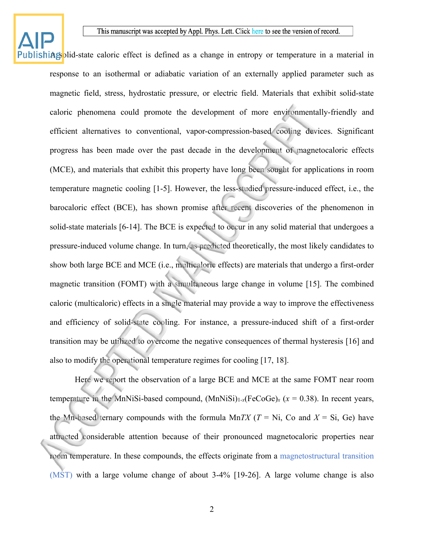Publishing blid-state caloric effect is defined as a change in entropy or temperature in a material in response to an isothermal or adiabatic variation of an externally applied parameter such as magnetic field, stress, hydrostatic pressure, or electric field. Materials that exhibit solid-state caloric phenomena could promote the development of more environmentally-friendly and efficient alternatives to conventional, vapor-compression-based cooling devices. Significant progress has been made over the past decade in the development of magnetocaloric effects (MCE), and materials that exhibit this property have long been sought for applications in room temperature magnetic cooling [1-5]. However, the less-studied pressure-induced effect, i.e., the barocaloric effect (BCE), has shown promise after recent discoveries of the phenomenon in solid-state materials [6-14]. The BCE is expected to occur in any solid material that undergoes a pressure-induced volume change. In turn, as predicted theoretically, the most likely candidates to show both large BCE and MCE (i.e., multicaloric effects) are materials that undergo a first-order magnetic transition (FOMT) with a simultaneous large change in volume [15]. The combined caloric (multicaloric) effects in a single material may provide a way to improve the effectiveness and efficiency of solid-state cooling. For instance, a pressure-induced shift of a first-order transition may be utilized to overcome the negative consequences of thermal hysteresis [16] and also to modify the operational temperature regimes for cooling [17, 18].

 Here we report the observation of a large BCE and MCE at the same FOMT near room temperature in the MnNiSi-based compound,  $(MnNiSi)_{1-x}(FeCoGe)x$  ( $x = 0.38$ ). In recent years, the Mn-based ternary compounds with the formula Mn*TX* ( $T = Ni$ , Co and  $X = Si$ , Ge) have attracted considerable attention because of their pronounced magnetocaloric properties near room temperature. In these compounds, the effects originate from a magnetostructural transition (MST) with a large volume change of about 3-4% [19-26]. A large volume change is also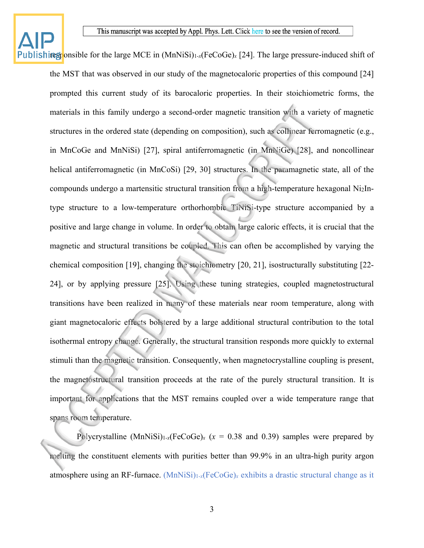**Publishires** lonsible for the large MCE in  $(MnNiSi)_{1-x}(FeCoGe)_{x}$  [24]. The large pressure-induced shift of the MST that was observed in our study of the magnetocaloric properties of this compound [24] prompted this current study of its barocaloric properties. In their stoichiometric forms, the materials in this family undergo a second-order magnetic transition with a variety of magnetic structures in the ordered state (depending on composition), such as collinear ferromagnetic (e.g., in MnCoGe and MnNiSi) [27], spiral antiferromagnetic (in MnNiGe) [28], and noncollinear helical antiferromagnetic (in MnCoSi) [29, 30] structures. In the paramagnetic state, all of the compounds undergo a martensitic structural transition from a high-temperature hexagonal Ni2Intype structure to a low-temperature orthorhombic TiNiSi-type structure accompanied by a positive and large change in volume. In order to obtain large caloric effects, it is crucial that the magnetic and structural transitions be coupled. This can often be accomplished by varying the chemical composition [19], changing the stoichiometry [20, 21], isostructurally substituting [22- 24], or by applying pressure [25]. Using these tuning strategies, coupled magnetostructural transitions have been realized in many of these materials near room temperature, along with giant magnetocaloric effects bolstered by a large additional structural contribution to the total isothermal entropy change. Generally, the structural transition responds more quickly to external stimuli than the magnetic transition. Consequently, when magnetocrystalline coupling is present, the magnetostructural transition proceeds at the rate of the purely structural transition. It is important for applications that the MST remains coupled over a wide temperature range that spans room temperature.

Polycrystalline (MnNiSi) $1-x$ (FeCoGe) $x$  ( $x = 0.38$  and 0.39) samples were prepared by melting the constituent elements with purities better than 99.9% in an ultra-high purity argon atmosphere using an RF-furnace. (MnNiSi)1-*x*(FeCoGe)*x* exhibits a drastic structural change as it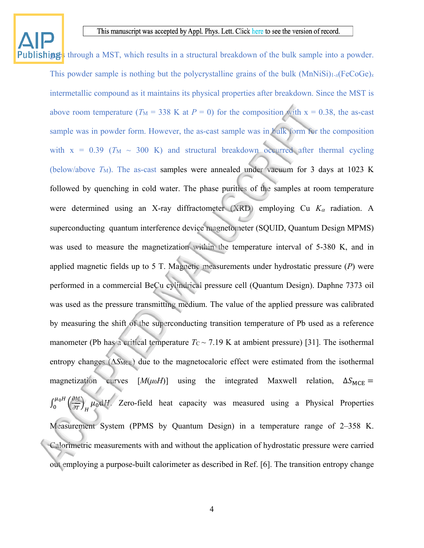

**blishing** through a MST, which results in a structural breakdown of the bulk sample into a powder. This powder sample is nothing but the polycrystalline grains of the bulk (MnNiSi)1-*x*(FeCoGe)*<sup>x</sup>* intermetallic compound as it maintains its physical properties after breakdown. Since the MST is above room temperature ( $T_M$  = 338 K at  $P = 0$ ) for the composition with x = 0.38, the as-cast sample was in powder form. However, the as-cast sample was in bulk form for the composition with  $x = 0.39$  ( $T_M \sim 300$  K) and structural breakdown occurred after thermal cycling (below/above  $T_M$ ). The as-cast samples were annealed under vacuum for 3 days at 1023 K followed by quenching in cold water. The phase purities of the samples at room temperature were determined using an X-ray diffractometer (XRD) employing Cu  $K_{\alpha}$  radiation. A superconducting quantum interference device magnetometer (SQUID, Quantum Design MPMS) was used to measure the magnetization within the temperature interval of 5-380 K, and in applied magnetic fields up to 5 T. Magnetic measurements under hydrostatic pressure (*P*) were performed in a commercial BeCu cylindrical pressure cell (Quantum Design). Daphne 7373 oil was used as the pressure transmitting medium. The value of the applied pressure was calibrated by measuring the shift of the superconducting transition temperature of Pb used as a reference manometer (Pb has a critical temperature  $T_C \sim 7.19$  K at ambient pressure) [31]. The isothermal entropy changes ( $ΔS$ <sub>MCE</sub>) due to the magnetocaloric effect were estimated from the isothermal magnetization curves  $[M(\mu_0 H)]$  using the integrated Maxwell relation,  $\Delta S_{MCF}$  =  $\int_0^{\mu_0 H} \left(\frac{\partial M}{\partial T}\right)_H$  $\int_0^{\mu_0 H} \left(\frac{\partial M}{\partial T}\right)_H \mu_0 dH$ . Zero-field heat capacity was measured using a Physical Properties Measurement System (PPMS by Quantum Design) in a temperature range of 2–358 K. Calorimetric measurements with and without the application of hydrostatic pressure were carried out employing a purpose-built calorimeter as described in Ref. [6]. The transition entropy change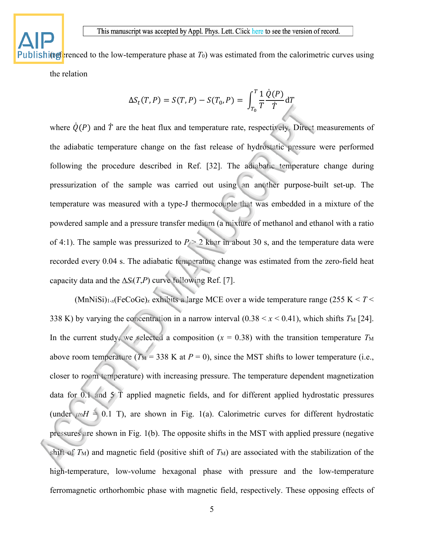**Publishing** referenced to the low-temperature phase at  $T_0$ ) was estimated from the calorimetric curves using

the relation

$$
\Delta S_t(T, P) = S(T, P) - S(T_0, P) = \int_{T_0}^T \frac{1}{T} \frac{\dot{Q}(P)}{\dot{T}} dT
$$

where  $\dot{Q}(P)$  and  $\dot{T}$  are the heat flux and temperature rate, respectively. Direct measurements of the adiabatic temperature change on the fast release of hydrostatic pressure were performed following the procedure described in Ref. [32]. The adiabatic temperature change during pressurization of the sample was carried out using an another purpose-built set-up. The temperature was measured with a type-J thermocouple that was embedded in a mixture of the powdered sample and a pressure transfer medium (a mixture of methanol and ethanol with a ratio of 4:1). The sample was pressurized to  $P > 2$  kbar in about 30 s, and the temperature data were recorded every 0.04 s. The adiabatic temperature change was estimated from the zero-field heat capacity data and the  $\Delta S_f(T, P)$  curve following Ref. [7].

 $(MnNiSi)_{1-x}(FeCoGe)_x$  exhibits a large MCE over a wide temperature range (255 K  $\leq T \leq$ 338 K) by varying the concentration in a narrow interval  $(0.38 \le x \le 0.41)$ , which shifts  $T_M$  [24]. In the current study, we selected a composition  $(x = 0.38)$  with the transition temperature  $T_M$ above room temperature ( $T_M$  = 338 K at  $P = 0$ ), since the MST shifts to lower temperature (i.e., closer to room temperature) with increasing pressure. The temperature dependent magnetization data for 0.1 and 5 T applied magnetic fields, and for different applied hydrostatic pressures (under  $\mu_0H = 0.1$  T), are shown in Fig. 1(a). Calorimetric curves for different hydrostatic pressures are shown in Fig. 1(b). The opposite shifts in the MST with applied pressure (negative shift of  $T_M$ ) and magnetic field (positive shift of  $T_M$ ) are associated with the stabilization of the high-temperature, low-volume hexagonal phase with pressure and the low-temperature ferromagnetic orthorhombic phase with magnetic field, respectively. These opposing effects of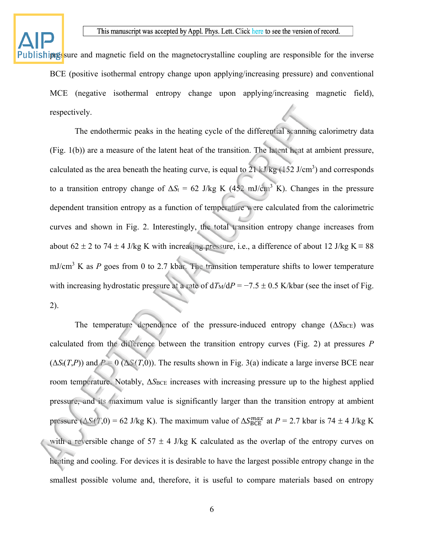**blishippes** sure and magnetic field on the magnetocrystalline coupling are responsible for the inverse

BCE (positive isothermal entropy change upon applying/increasing pressure) and conventional MCE (negative isothermal entropy change upon applying/increasing magnetic field), respectively.

The endothermic peaks in the heating cycle of the differential scanning calorimetry data (Fig. 1(b)) are a measure of the latent heat of the transition. The latent heat at ambient pressure, calculated as the area beneath the heating curve, is equal to 21 kJ/kg  $(152 \text{ J/cm}^3)$  and corresponds to a transition entropy change of  $\Delta S_t = 62$  J/kg K (452 mJ/cm<sup>3</sup> K). Changes in the pressure dependent transition entropy as a function of temperature were calculated from the calorimetric curves and shown in Fig. 2. Interestingly, the total transition entropy change increases from about  $62 \pm 2$  to  $74 \pm 4$  J/kg K with increasing pressure, i.e., a difference of about 12 J/kg K = 88 mJ/cm<sup>3</sup> K as *P* goes from 0 to 2.7 kbar. The transition temperature shifts to lower temperature with increasing hydrostatic pressure at a rate of  $dT_M/dP = -7.5 \pm 0.5$  K/kbar (see the inset of Fig. 2).

The temperature dependence of the pressure-induced entropy change  $(\Delta S_{BCE})$  was calculated from the difference between the transition entropy curves (Fig. 2) at pressures *P*  $(\Delta S_f(T, P))$  and  $P = 0$  ( $\Delta S_f(T, 0)$ ). The results shown in Fig. 3(a) indicate a large inverse BCE near room temperature. Notably,  $ΔS<sub>BCE</sub>$  increases with increasing pressure up to the highest applied pressure, and its maximum value is significantly larger than the transition entropy at ambient pressure ( $\Delta S_t(T,0) = 62$  J/kg K). The maximum value of  $\Delta S_{BCE}^{max}$  at  $P = 2.7$  kbar is 74  $\pm$  4 J/kg K with a reversible change of  $57 \pm 4$  J/kg K calculated as the overlap of the entropy curves on heating and cooling. For devices it is desirable to have the largest possible entropy change in the smallest possible volume and, therefore, it is useful to compare materials based on entropy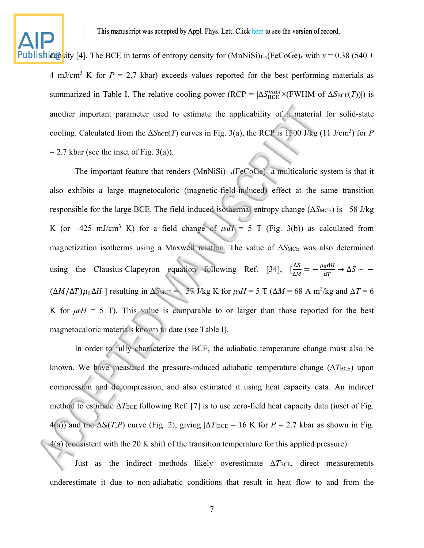

**blishides** sity [4]. The BCE in terms of entropy density for  $(MnNiSi)_{1-x}(FeCoGe)_{x}$  with  $x = 0.38$  (540  $\pm$ 4 mJ/cm<sup>3</sup> K for  $P = 2.7$  kbar) exceeds values reported for the best performing materials as summarized in Table I. The relative cooling power (RCP =  $|\Delta S_{BCE}^{max} \times (FWHM \text{ of } \Delta S_{BCE}(T))|$ ) is another important parameter used to estimate the applicability of a material for solid-state cooling. Calculated from the  $\Delta S_{BCE}(T)$  curves in Fig. 3(a), the RCP is 1500 J/kg (11 J/cm<sup>3</sup>) for *P*  $= 2.7$  kbar (see the inset of Fig. 3(a)).

The important feature that renders (MnNiSi)1-*x*(FeCoGe)*x* a multicaloric system is that it also exhibits a large magnetocaloric (magnetic-field-induced) effect at the same transition responsible for the large BCE. The field-induced isothermal entropy change (Δ*S*MCE) is −58 J/kg K (or  $-425$  mJ/cm<sup>3</sup> K) for a field change of  $\mu_0H = 5$  T (Fig. 3(b)) as calculated from magnetization isotherms using a Maxwell relation. The value of Δ*S*MCE was also determined using the Clausius-Clapeyron equation following Ref. [34],  $[\frac{\Delta S}{\Delta M} = -\frac{\mu_0 dH}{dT} \rightarrow \Delta S \sim -\frac{1}{2}$  $(\Delta M/\Delta T)\mu_0\Delta H$  ] resulting in  $\Delta S_{MCE} = -57$  J/kg K for  $\mu_0H = 5$  T ( $\Delta M = 68$  A m<sup>2</sup>/kg and  $\Delta T = 6$ K for  $\mu_0H = 5$  T). This value is comparable to or larger than those reported for the best magnetocaloric materials known to date (see Table I).

In order to fully characterize the BCE, the adiabatic temperature change must also be known. We have measured the pressure-induced adiabatic temperature change  $(\Delta T_{\text{BCE}})$  upon compression and decompression, and also estimated it using heat capacity data. An indirect method to estimate  $\Delta T$ <sub>BCE</sub> following Ref. [7] is to use zero-field heat capacity data (inset of Fig. 4(a)) and the  $\Delta S_f(T, P)$  curve (Fig. 2), giving  $|\Delta T|_{BCE} = 16$  K for  $P = 2.7$  kbar as shown in Fig. 4(a) (consistent with the 20 K shift of the transition temperature for this applied pressure).

Just as the indirect methods likely overestimate  $\Delta T_{\text{BCE}}$ , direct measurements underestimate it due to non-adiabatic conditions that result in heat flow to and from the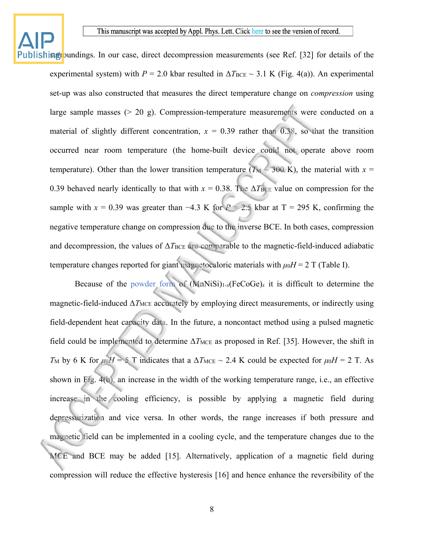Publishister bundings. In our case, direct decompression measurements (see Ref. [32] for details of the experimental system) with  $P = 2.0$  kbar resulted in  $\Delta T_{BCE} \sim 3.1$  K (Fig. 4(a)). An experimental set-up was also constructed that measures the direct temperature change on *compression* using large sample masses  $(> 20 \text{ g})$ . Compression-temperature measurements were conducted on a material of slightly different concentration,  $x = 0.39$  rather than 0.38, so that the transition occurred near room temperature (the home-built device could not operate above room temperature). Other than the lower transition temperature ( $T_M \sim 300$  K), the material with  $x =$ 0.39 behaved nearly identically to that with  $x = 0.38$ . The  $\Delta T_{\text{BCE}}$  value on compression for the sample with  $x = 0.39$  was greater than −4.3 K for  $P = 2.5$  kbar at T = 295 K, confirming the negative temperature change on compression due to the inverse BCE. In both cases, compression and decompression, the values of  $\Delta T_{\text{BCE}}$  are comparable to the magnetic-field-induced adiabatic temperature changes reported for giant magnetocaloric materials with  $\mu_0H = 2$  T (Table I).

Because of the powder form of (MnNiSi)1-*x*(FeCoGe)*x* it is difficult to determine the magnetic-field-induced  $\Delta T_{\text{MCE}}$  accurately by employing direct measurements, or indirectly using field-dependent heat capacity data. In the future, a noncontact method using a pulsed magnetic field could be implemented to determine  $\Delta T_{MCE}$  as proposed in Ref. [35]. However, the shift in *T*<sub>M</sub> by 6 K for  $\mu_0 H = 5$  T indicates that a  $\Delta T_{MCE} \sim 2.4$  K could be expected for  $\mu_0 H = 2$  T. As shown in Fig. 4(b), an increase in the width of the working temperature range, i.e., an effective increase in the cooling efficiency, is possible by applying a magnetic field during depressurization and vice versa. In other words, the range increases if both pressure and magnetic field can be implemented in a cooling cycle, and the temperature changes due to the MCE and BCE may be added [15]. Alternatively, application of a magnetic field during compression will reduce the effective hysteresis [16] and hence enhance the reversibility of the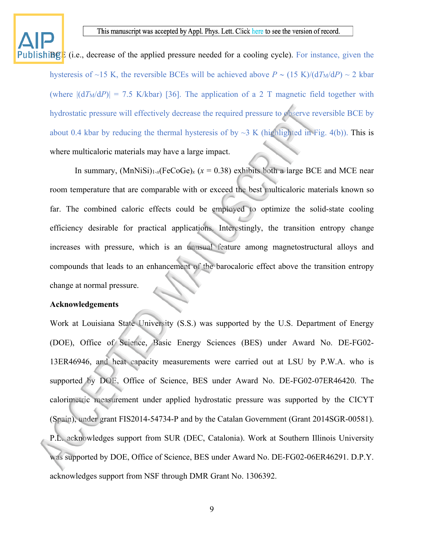**Publishing:** (i.e., decrease of the applied pressure needed for a cooling cycle). For instance, given the hysteresis of ~15 K, the reversible BCEs will be achieved above  $P \sim (15 \text{ K})/(dT_{\text{M}}/dP) \sim 2 \text{ kbar}$ (where  $\left| \frac{d T_M}{dP} \right| = 7.5$  K/kbar) [36]. The application of a 2 T magnetic field together with hydrostatic pressure will effectively decrease the required pressure to observe reversible BCE by about 0.4 kbar by reducing the thermal hysteresis of by  $\sim$ 3 K (highlighted in Fig. 4(b)). This is where multicaloric materials may have a large impact.

In summary,  $(MnNiSi)_{1-x}(FeCoGe)_{x}$  ( $x = 0.38$ ) exhibits both a large BCE and MCE near room temperature that are comparable with or exceed the best multicaloric materials known so far. The combined caloric effects could be employed to optimize the solid-state cooling efficiency desirable for practical applications. Interestingly, the transition entropy change increases with pressure, which is an unusual feature among magnetostructural alloys and compounds that leads to an enhancement of the barocaloric effect above the transition entropy change at normal pressure.

### **Acknowledgements**

Work at Louisiana State University (S.S.) was supported by the U.S. Department of Energy (DOE), Office of Science, Basic Energy Sciences (BES) under Award No. DE-FG02- 13ER46946, and heat capacity measurements were carried out at LSU by P.W.A. who is supported by DOE, Office of Science, BES under Award No. DE-FG02-07ER46420. The calorimetric measurement under applied hydrostatic pressure was supported by the CICYT (Spain), under grant FIS2014-54734-P and by the Catalan Government (Grant 2014SGR-00581). P.L. acknowledges support from SUR (DEC, Catalonia). Work at Southern Illinois University was supported by DOE, Office of Science, BES under Award No. DE-FG02-06ER46291. D.P.Y. acknowledges support from NSF through DMR Grant No. 1306392.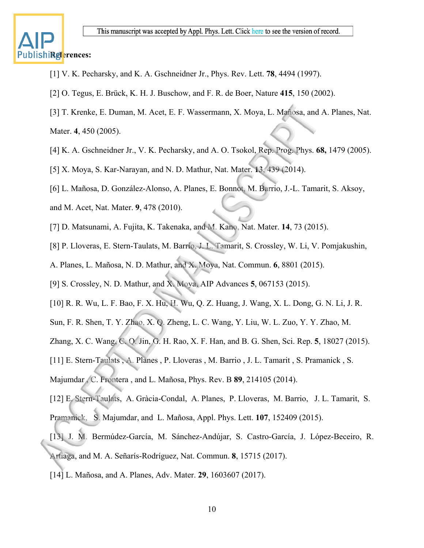

- [1] V. K. Pecharsky, and K. A. Gschneidner Jr., Phys. Rev. Lett. **78**, 4494 (1997).
- [2] O. Tegus, E. Brück, K. H. J. Buschow, and F. R. de Boer, Nature **415**, 150 (2002).
- [3] T. Krenke, E. Duman, M. Acet, E. F. Wassermann, X. Moya, L. Mañosa, and A. Planes, Nat.

Mater. **4**, 450 (2005).

- [4] K. A. Gschneidner Jr., V. K. Pecharsky, and A. O. Tsokol, Rep. Prog. Phys. **68,** 1479 (2005).
- [5] X. Moya, S. Kar-Narayan, and N. D. Mathur, Nat. Mater. **13**, 439 (2014).
- [6] L. Mañosa, D. González-Alonso, A. Planes, E. Bonnot, M. Barrio, J.-L. Tamarit, S. Aksoy,
- and M. Acet, Nat. Mater. **9**, 478 (2010).
- [7] D. Matsunami, A. Fujita, K. Takenaka, and M. Kano, Nat. Mater. **14**, 73 (2015).
- [8] P. Lloveras, E. Stern-Taulats, M. Barrio, J. L. Tamarit, S. Crossley, W. Li, V. Pomjakushin,
- A. Planes, L. Mañosa, N. D. Mathur, and X. Moya, Nat. Commun. **6**, 8801 (2015).
- [9] S. Crossley, N. D. Mathur, and X. Moya, AIP Advances **5**, 067153 (2015).
- [10] R. R. Wu, L. F. Bao, F. X. Hu, H. Wu, Q. Z. Huang, J. Wang, X. L. Dong, G. N. Li, J. R.
- Sun, F. R. Shen, T. Y. Zhao, X. Q. Zheng, L. C. Wang, Y. Liu, W. L. Zuo, Y. Y. Zhao, M.
- Zhang, X. C. Wang, C. Q. Jin, G. H. Rao, X. F. Han, and B. G. Shen, Sci. Rep. **5**, 18027 (2015).
- [11] E. Stern-Taulats , A. Planes , P. Lloveras , M. Barrio , J. L. Tamarit , S. Pramanick , S.

Majumdar , C. Frontera , and L. Mañosa, Phys. Rev. B **89**, 214105 (2014).

- [12] E. Stern-Taulats, A. Gràcia-Condal, A. Planes, P. Lloveras, M. Barrio, J. L. Tamarit, S.
- Pramanick, S. Majumdar, and L. Mañosa, Appl. Phys. Lett. **107**, 152409 (2015).
- [13] J. M. Bermúdez-García, M. Sánchez-Andújar, S. Castro-García, J. López-Beceiro, R. Artiaga, and M. A. Señarís-Rodríguez, Nat. Commun. **8**, 15715 (2017).
	- [14] L. Mañosa, and A. Planes, Adv. Mater. **29**, 1603607 (2017).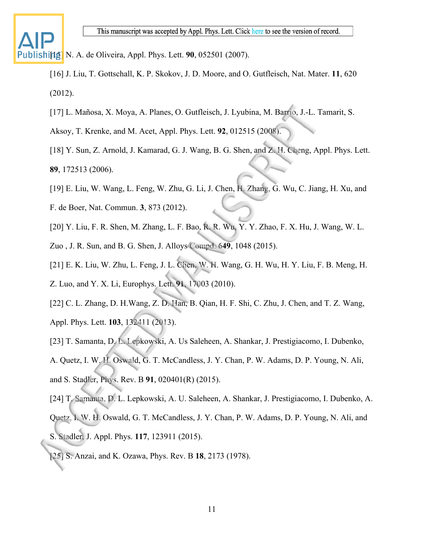

**Publishing** N. A. de Oliveira, Appl. Phys. Lett. **90**, 052501 (2007).

- [16] J. Liu, T. Gottschall, K. P. Skokov, J. D. Moore, and O. Gutfleisch, Nat. Mater. **11**, 620 (2012).
- [17] L. Mañosa, X. Moya, A. Planes, O. Gutfleisch, J. Lyubina, M. Barrio, J.-L. Tamarit, S.

Aksoy, T. Krenke, and M. Acet, Appl. Phys. Lett. **92**, 012515 (2008).

- [18] Y. Sun, Z. Arnold, J. Kamarad, G. J. Wang, B. G. Shen, and Z. H. Cheng, Appl. Phys. Lett.
- **89**, 172513 (2006).
- [19] E. Liu, W. Wang, L. Feng, W. Zhu, G. Li, J. Chen, H. Zhang, G. Wu, C. Jiang, H. Xu, and
- F. de Boer, Nat. Commun. **3**, 873 (2012).
- [20] Y. Liu, F. R. Shen, M. Zhang, L. F. Bao, R. R. Wu, Y. Y. Zhao, F. X. Hu, J. Wang, W. L.
- Zuo , J. R. Sun, and B. G. Shen, J. Alloys Compd. **649**, 1048 (2015).
- [21] E. K. Liu, W. Zhu, L. Feng, J. L. Chen, W. H. Wang, G. H. Wu, H. Y. Liu, F. B. Meng, H.
- Z. Luo, and Y. X. Li, Europhys. Lett. **91**, 17003 (2010).
- [22] C. L. Zhang, D. H.Wang, Z. D. Han, B. Qian, H. F. Shi, C. Zhu, J. Chen, and T. Z. Wang, Appl. Phys. Lett. **103**, 132411 (2013).
- [23] T. Samanta, D. L. Lepkowski, A. Us Saleheen, A. Shankar, J. Prestigiacomo, I. Dubenko,
- A. Quetz, I. W. H. Oswald, G. T. McCandless, J. Y. Chan, P. W. Adams, D. P. Young, N. Ali, and S. Stadler, Phys. Rev. B **91**, 020401(R) (2015).
- [24] T. Samanta, D. L. Lepkowski, A. U. Saleheen, A. Shankar, J. Prestigiacomo, I. Dubenko, A.
- Quetz, I. W. H. Oswald, G. T. McCandless, J. Y. Chan, P. W. Adams, D. P. Young, N. Ali, and S. Stadler, J. Appl. Phys. **117**, 123911 (2015).
- [25] S. Anzai, and K. Ozawa, Phys. Rev. B **18**, 2173 (1978).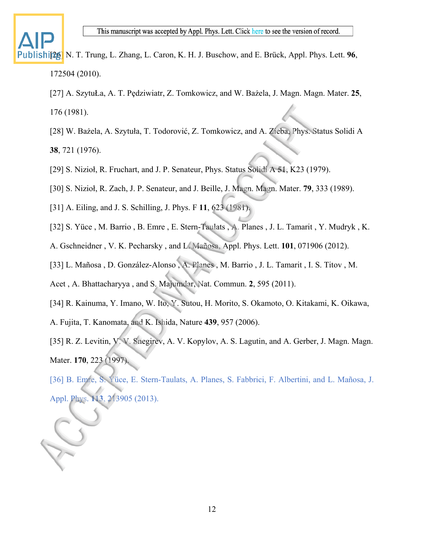

- [26] N. T. Trung, L. Zhang, L. Caron, K. H. J. Buschow, and E. Brück, Appl. Phys. Lett. **96**, 172504 (2010).
	- [27] A. SzytuŁa, A. T. Pȩdziwiatr, Z. Tomkowicz, and W. Bażela, J. Magn. Magn. Mater. **25**, 176 (1981).
	- [28] W. Bażela, A. Szytuła, T. Todorović, Z. Tomkowicz, and A. Zieba, Phys. Status Solidi A
	- **38**, 721 (1976).
	- [29] S. Nizioł, R. Fruchart, and J. P. Senateur, Phys. Status Solidi A **51**, K23 (1979).
	- [30] S. Nizioł, R. Zach, J. P. Senateur, and J. Beille, J. Magn. Magn. Mater. **79**, 333 (1989).
	- [31] A. Eiling, and J. S. Schilling, J. Phys. F **11**, 623 (1981).
	- [32] S. Yüce , M. Barrio , B. Emre , E. Stern-Taulats , A. Planes , J. L. Tamarit , Y. Mudryk , K.
	- A. Gschneidner , V. K. Pecharsky , and L. Mañosa, Appl. Phys. Lett. **101**, 071906 (2012).
	- [33] L. Mañosa , D. González-Alonso , A. Planes , M. Barrio , J. L. Tamarit , I. S. Titov , M.
	- Acet , A. Bhattacharyya , and S. Majumdar, Nat. Commun. **2**, 595 (2011).
	- [34] R. Kainuma, Y. Imano, W. Ito, Y. Sutou, H. Morito, S. Okamoto, O. Kitakami, K. Oikawa,
	- A. Fujita, T. Kanomata, and K. Ishida, Nature **439**, 957 (2006).
	- [35] R. Z. Levitin, V. V. Snegirev, A. V. Kopylov, A. S. Lagutin, and A. Gerber, J. Magn. Magn. Mater. **170**, 223 (1997).
	- [36] B. Emre, S. Yüce, E. Stern-Taulats, A. Planes, S. Fabbrici, F. Albertini, and L. Mañosa, J. Appl. Phys. **113**, 213905 (2013).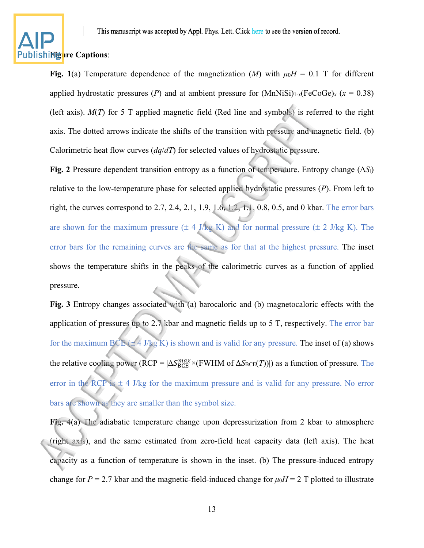

**Fig.** 1(a) Temperature dependence of the magnetization  $(M)$  with  $\mu_0H = 0.1$  T for different applied hydrostatic pressures (*P*) and at ambient pressure for  $(MnNiSi)_{1-x}(FeCoGe)_{x}$  ( $x = 0.38$ ) (left axis). *M*(*T*) for 5 T applied magnetic field (Red line and symbols) is referred to the right axis. The dotted arrows indicate the shifts of the transition with pressure and magnetic field. (b) Calorimetric heat flow curves (*dq*/*dT*) for selected values of hydrostatic pressure.

**Fig. 2** Pressure dependent transition entropy as a function of temperature. Entropy change (Δ*S*t) relative to the low-temperature phase for selected applied hydrostatic pressures (*P*). From left to right, the curves correspond to 2.7, 2.4, 2.1, 1.9, 1.6, 1.2, 1.1, 0.8, 0.5, and 0 kbar. The error bars are shown for the maximum pressure  $(\pm 4 \text{ J/kg K})$  and for normal pressure  $(\pm 2 \text{ J/kg K})$ . The error bars for the remaining curves are the same as for that at the highest pressure. The inset shows the temperature shifts in the peaks of the calorimetric curves as a function of applied pressure.

**Fig. 3** Entropy changes associated with (a) barocaloric and (b) magnetocaloric effects with the application of pressures up to 2.7 kbar and magnetic fields up to 5 T, respectively. The error bar for the maximum BCE  $(\pm 4 \text{ J/kg K})$  is shown and is valid for any pressure. The inset of (a) shows the relative cooling power ( $RCP = |\Delta S_{BCE}^{max} \times (FWHM \text{ of } \Delta S_{BCE}(T))|$ ) as a function of pressure. The error in the RCP is  $\pm$  4 J/kg for the maximum pressure and is valid for any pressure. No error bars are shown as they are smaller than the symbol size.

**Fig. 4**(a) The adiabatic temperature change upon depressurization from 2 kbar to atmosphere (right axis), and the same estimated from zero-field heat capacity data (left axis). The heat capacity as a function of temperature is shown in the inset. (b) The pressure-induced entropy change for  $P = 2.7$  kbar and the magnetic-field-induced change for  $\mu_0 H = 2$  T plotted to illustrate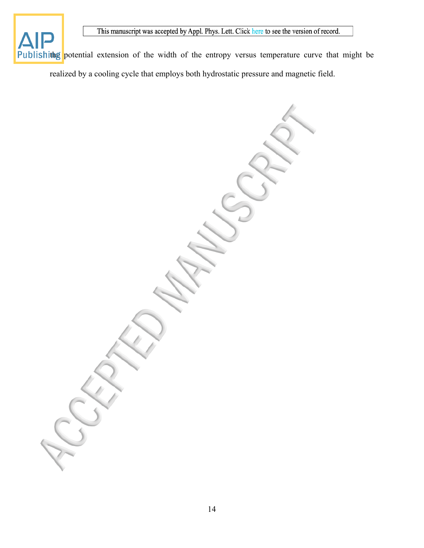

Publishith potential extension of the width of the entropy versus temperature curve that might be realized by a cooling cycle that employs both hydrostatic pressure and magnetic field.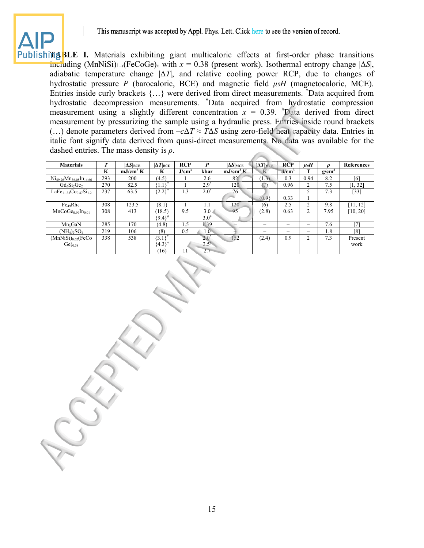

**Publishing BLE I.** Materials exhibiting giant multicaloric effects at first-order phase transitions including  $(MnNiSi)_{1-x}(FeCoGe)x$  with  $x = 0.38$  (present work). Isothermal entropy change  $|\Delta S|$ , adiabatic temperature change  $|\Delta T|$ , and relative cooling power RCP, due to changes of hydrostatic pressure *P* (barocaloric, BCE) and magnetic field *μ0H* (magnetocaloric, MCE). Entries inside curly brackets {…} were derived from direct measurements. \* Data acquired from hydrostatic decompression measurements. † Data acquired from hydrostatic compression measurement using a slightly different concentration  $x = 0.39$ . *Flata* derived from direct measurement by pressurizing the sample using a hydraulic press. Entries inside round brackets (...) denote parameters derived from  $-c\Delta T \approx T\Delta S$  using zero-field heat capacity data. Entries in italic font signify data derived from quasi-direct measurements. No data was available for the dashed entries. The mass density is *ρ*.

| <b>Materials</b>                                        | T   | $ \Delta S _{BCE}$   | $ \Delta T _{\rm BCE}$ | <b>RCP</b>        | $\boldsymbol{P}$ | $ \Delta S _{\rm MCE}$ | $ \Delta T _{MCE}$ | <b>RCP</b>        | $\mu_0H$       | $\boldsymbol{p}$  | <b>References</b> |
|---------------------------------------------------------|-----|----------------------|------------------------|-------------------|------------------|------------------------|--------------------|-------------------|----------------|-------------------|-------------------|
|                                                         | K   | mJ/cm <sup>3</sup> K | K                      | J/cm <sup>3</sup> | kbar             | mJ/cm <sup>3</sup> K   |                    | J/cm <sup>3</sup> | T              | g/cm <sup>3</sup> |                   |
| $Ni_{49.26}Mn_{36.08}In_{14.66}$                        | 293 | 200                  | (4.5)                  |                   | 2.6              | 82                     | (1.3)              | 0.3               | 0.94           | 8.2               | [6]               |
| $Gd_5Si_2Ge_2$                                          | 270 | 82.5                 | ${41.13}^*$            |                   | $2.9*$           | 120                    |                    | 0.96              | 2              | 7.5               | [1, 32]           |
| LaFe <sub>1133</sub> Co <sub>047</sub> Si <sub>12</sub> | 237 | 63.5                 | ${2.2}^*$              | 1.3               | $2.0*$           | 76                     |                    |                   |                | 7.3               | $[33]$            |
|                                                         |     |                      |                        |                   |                  |                        | ${0.9}$            | 0.33              |                |                   |                   |
| $Fe_{49}Rh_{51}$                                        | 308 | 123.5                | (8.1)                  |                   | 1.1              | 120                    | (6)                | 2.5               | 2              | 9.8               | [11, 12]          |
| $MnCoGe_{0.99}In_{0.01}$                                | 308 | 413                  | (18.5)                 | 9.5               | 3.0<             | 95                     | (2.8)              | 0.63              | $\overline{2}$ | 7.95              | [10, 20]          |
|                                                         |     |                      | ${9.4}^{\#}$           |                   | $3.0^{#}$        |                        |                    |                   |                |                   |                   |
| $Mn_3GaN$                                               | 285 | 170                  | (4.8)                  | 1.5               | 1,39             |                        |                    |                   | -              | 7.6               | Γ7                |
| $(NH_4)$ <sub>2</sub> SO <sub>4</sub>                   | 219 | 106                  | (8)                    | 0.5               | $1.0^{\circ}$    |                        |                    |                   | -              | 1.8               | [8]               |
| $(MnNiSi)_{0.62}$ (FeCo                                 | 338 | 538                  | ${3.1}^*$              |                   | $2.0^\circ$      | 152                    | (2.4)              | 0.9               | 2              | 7.3               | Present           |
| $Ge)_{0.38}$                                            |     |                      | ${4.3}$ $^{\dagger}$   |                   | $2.5^{\circ}$    |                        |                    |                   |                |                   | work              |
|                                                         |     |                      | (16)                   | 11                | 2.7              |                        |                    |                   |                |                   |                   |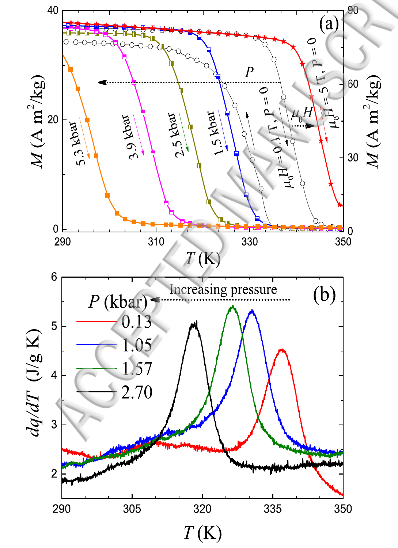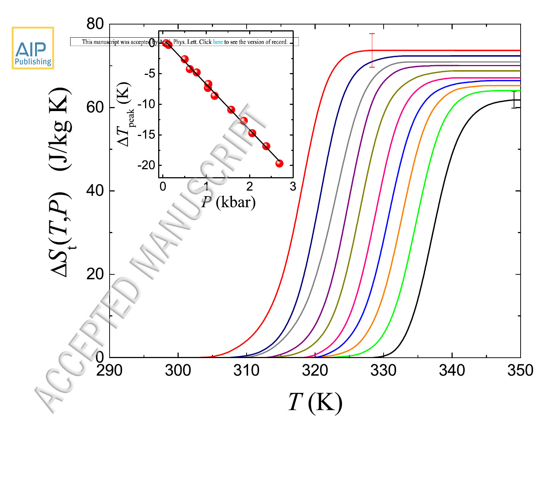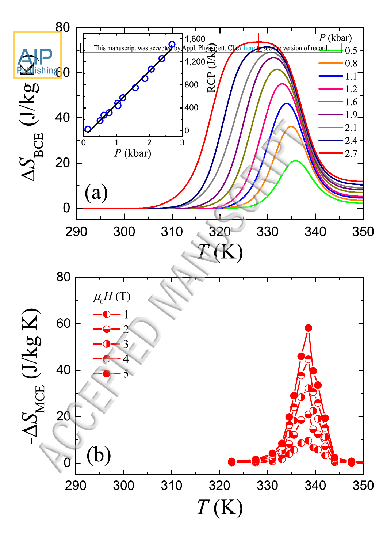